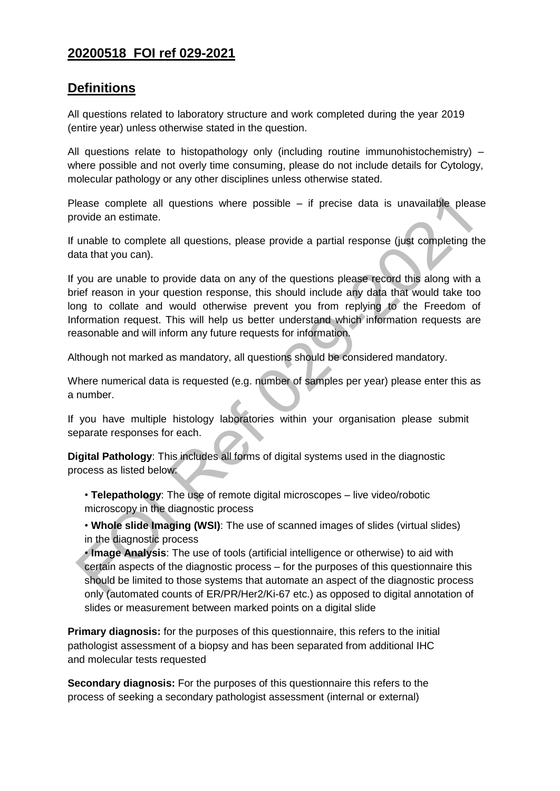### **20200518 FOI ref 029-2021**

#### **Definitions**

All questions related to laboratory structure and work completed during the year 2019 (entire year) unless otherwise stated in the question.

All questions relate to histopathology only (including routine immunohistochemistry) – where possible and not overly time consuming, please do not include details for Cytology, molecular pathology or any other disciplines unless otherwise stated.

Please complete all questions where possible – if precise data is unavailable please provide an estimate.

If unable to complete all questions, please provide a partial response (just completing the data that you can).

If you are unable to provide data on any of the questions please record this along with a brief reason in your question response, this should include any data that would take too long to collate and would otherwise prevent you from replying to the Freedom of Information request. This will help us better understand which information requests are reasonable and will inform any future requests for information.

Although not marked as mandatory, all questions should be considered mandatory.

Where numerical data is requested (e.g. number of samples per year) please enter this as a number.

If you have multiple histology laboratories within your organisation please submit separate responses for each.

**Digital Pathology**: This includes all forms of digital systems used in the diagnostic process as listed below:

• **Telepathology**: The use of remote digital microscopes – live video/robotic microscopy in the diagnostic process

• **Whole slide Imaging (WSI)**: The use of scanned images of slides (virtual slides) in the diagnostic process

• **Image Analysis**: The use of tools (artificial intelligence or otherwise) to aid with certain aspects of the diagnostic process – for the purposes of this questionnaire this should be limited to those systems that automate an aspect of the diagnostic process only (automated counts of ER/PR/Her2/Ki-67 etc.) as opposed to digital annotation of slides or measurement between marked points on a digital slide

**Primary diagnosis:** for the purposes of this questionnaire, this refers to the initial pathologist assessment of a biopsy and has been separated from additional IHC and molecular tests requested

**Secondary diagnosis:** For the purposes of this questionnaire this refers to the process of seeking a secondary pathologist assessment (internal or external)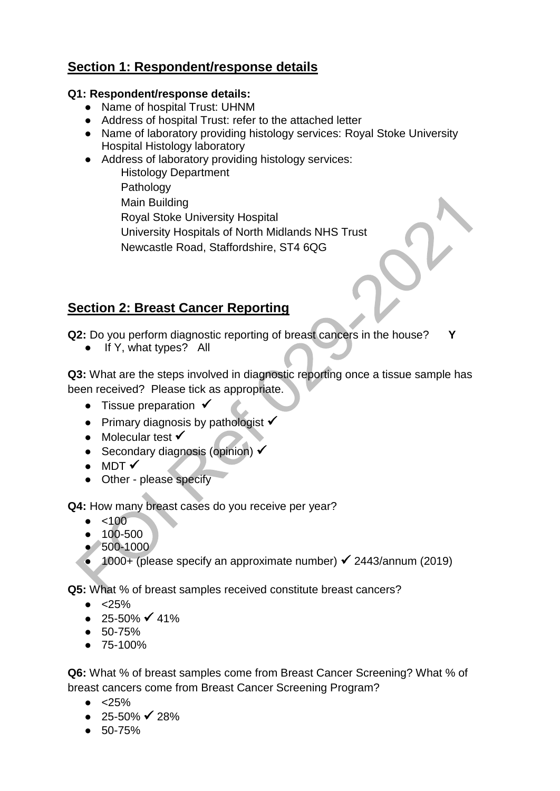## **Section 1: Respondent/response details**

#### **Q1: Respondent/response details:**

- Name of hospital Trust: UHNM
- Address of hospital Trust: refer to the attached letter
- Name of laboratory providing histology services: Royal Stoke University Hospital Histology laboratory
- Address of laboratory providing histology services: Histology Department
	- Pathology Main Building Royal Stoke University Hospital University Hospitals of North Midlands NHS Trust Newcastle Road, Staffordshire, ST4 6QG

# **Section 2: Breast Cancer Reporting**

**Q2:** Do you perform diagnostic reporting of breast cancers in the house? **Y**

• If Y, what types? All

**Q3:** What are the steps involved in diagnostic reporting once a tissue sample has been received? Please tick as appropriate.

- Tissue preparation  $\checkmark$
- Primary diagnosis by pathologist  $\checkmark$
- Molecular test  $\checkmark$
- Secondary diagnosis (opinion)  $\checkmark$
- $\bullet$  MDT  $\checkmark$
- Other please specify

**Q4:** How many breast cases do you receive per year?

- $\bullet$  <100
- 100-500
- 500-1000
- $\bullet$  1000+ (please specify an approximate number)  $\checkmark$  2443/annum (2019)

**Q5:** What % of breast samples received constitute breast cancers?

- $\bullet$  <25%
- $25 50\%$  <del>√</del> 41%
- 50-75%
- 75-100%

**Q6:** What % of breast samples come from Breast Cancer Screening? What % of breast cancers come from Breast Cancer Screening Program?

- $\bullet$  <25%
- $\bullet$  25-50%  $\checkmark$  28%
- 50-75%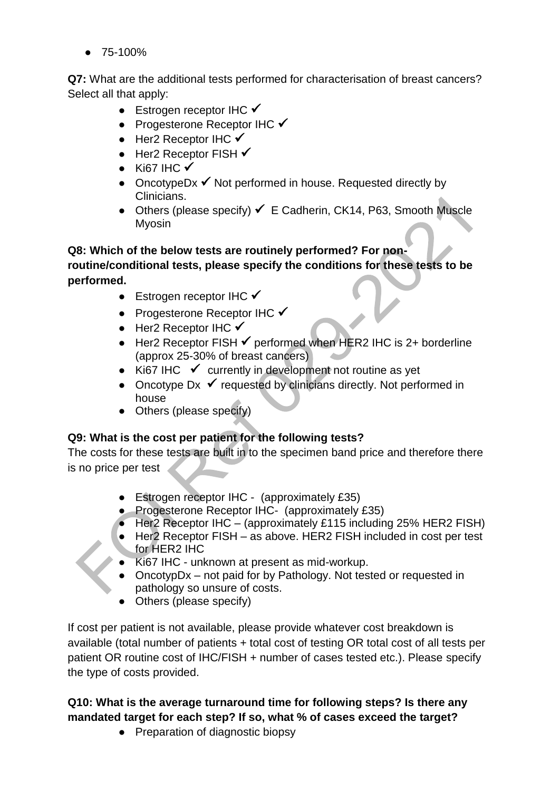● 75-100%

**Q7:** What are the additional tests performed for characterisation of breast cancers? Select all that apply:

- Estrogen receptor IHC  $\checkmark$
- Progesterone Receptor IHC  $\checkmark$
- $\bullet$  Her2 Receptor IHC  $\checkmark$
- $\bullet$  Her2 Receptor FISH  $\checkmark$
- Ki67 IHC  $\checkmark$
- OncotypeDx  $\checkmark$  Not performed in house. Requested directly by Clinicians.
- Others (please specify)  $\checkmark$  E Cadherin, CK14, P63, Smooth Muscle Myosin

### **Q8: Which of the below tests are routinely performed? For nonroutine/conditional tests, please specify the conditions for these tests to be performed.**

- Estrogen receptor IHC  $\checkmark$
- Progesterone Receptor IHC  $\checkmark$
- $\bullet$  Her2 Receptor IHC  $\checkmark$
- Her2 Receptor FISH  $\checkmark$  performed when HER2 IHC is 2+ borderline (approx 25-30% of breast cancers)
- Ki67 IHC  $\checkmark$  currently in development not routine as yet
- Oncotype Dx  $\checkmark$  requested by clinicians directly. Not performed in house
- Others (please specify)

### **Q9: What is the cost per patient for the following tests?**

The costs for these tests are built in to the specimen band price and therefore there is no price per test

- Estrogen receptor IHC (approximately £35)
- Progesterone Receptor IHC- (approximately £35)
- Her2 Receptor IHC (approximately £115 including 25% HER2 FISH)
- Her2 Receptor FISH as above. HER2 FISH included in cost per test for HER2 IHC
- Ki67 IHC unknown at present as mid-workup.
- OncotypDx not paid for by Pathology. Not tested or requested in pathology so unsure of costs.
- Others (please specify)

If cost per patient is not available, please provide whatever cost breakdown is available (total number of patients + total cost of testing OR total cost of all tests per patient OR routine cost of IHC/FISH + number of cases tested etc.). Please specify the type of costs provided.

### **Q10: What is the average turnaround time for following steps? Is there any mandated target for each step? If so, what % of cases exceed the target?**

● Preparation of diagnostic biopsy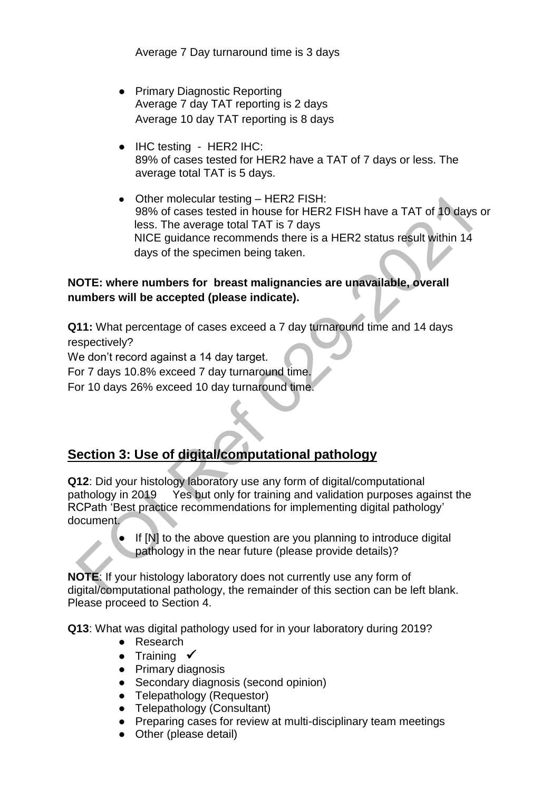Average 7 Day turnaround time is 3 days

- Primary Diagnostic Reporting Average 7 day TAT reporting is 2 days Average 10 day TAT reporting is 8 days
- IHC testing HER2 IHC: 89% of cases tested for HER2 have a TAT of 7 days or less. The average total TAT is 5 days.
- Other molecular testing HER2 FISH: 98% of cases tested in house for HER2 FISH have a TAT of 10 days or less. The average total TAT is 7 days NICE guidance recommends there is a HER2 status result within 14 days of the specimen being taken.

#### **NOTE: where numbers for breast malignancies are unavailable, overall numbers will be accepted (please indicate).**

**Q11:** What percentage of cases exceed a 7 day turnaround time and 14 days respectively?

We don't record against a 14 day target.

For 7 days 10.8% exceed 7 day turnaround time.

For 10 days 26% exceed 10 day turnaround time.

# **Section 3: Use of digital/computational pathology**

**Q12**: Did your histology laboratory use any form of digital/computational pathology in 2019 Yes but only for training and validation purposes against the RCPath 'Best practice recommendations for implementing digital pathology' document.

> ● If [N] to the above question are you planning to introduce digital pathology in the near future (please provide details)?

**NOTE**: If your histology laboratory does not currently use any form of digital/computational pathology, the remainder of this section can be left blank. Please proceed to Section 4.

**Q13**: What was digital pathology used for in your laboratory during 2019?

- Research
- Training  $\checkmark$
- Primary diagnosis
- Secondary diagnosis (second opinion)
- Telepathology (Requestor)
- Telepathology (Consultant)
- Preparing cases for review at multi-disciplinary team meetings
- Other (please detail)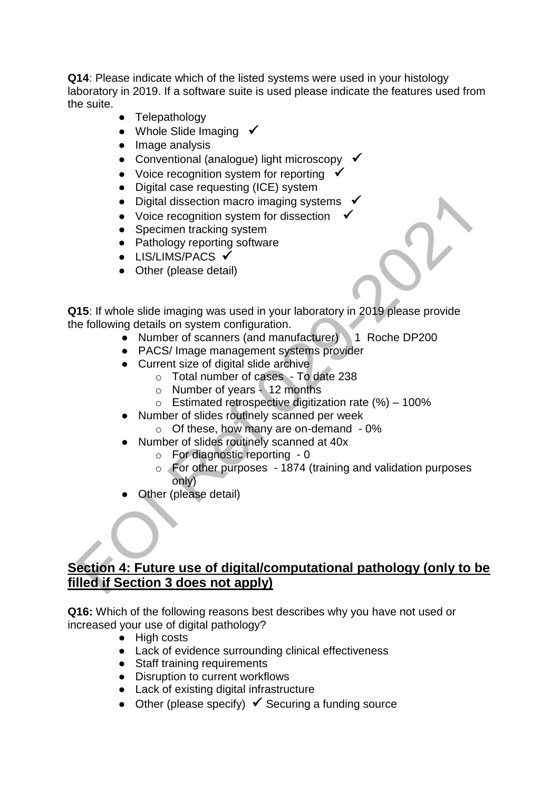**Q14**: Please indicate which of the listed systems were used in your histology laboratory in 2019. If a software suite is used please indicate the features used from the suite.

- Telepathology
- Whole Slide Imaging  $\checkmark$
- Image analysis
- Conventional (analogue) light microscopy  $\checkmark$
- Voice recognition system for reporting  $\checkmark$
- Digital case requesting (ICE) system
- Digital dissection macro imaging systems
- Voice recognition system for dissection
- Specimen tracking system
- Pathology reporting software
- $\bullet$  LIS/LIMS/PACS  $\checkmark$
- Other (please detail)

**Q15**: If whole slide imaging was used in your laboratory in 2019 please provide the following details on system configuration.

- Number of scanners (and manufacturer) 1 Roche DP200
- PACS/ Image management systems provider
- Current size of digital slide archive
	- o Total number of cases To date 238
	- o Number of years 12 months
	- $\circ$  Estimated retrospective digitization rate (%) 100%
- Number of slides routinely scanned per week
	- o Of these, how many are on-demand 0%
- Number of slides routinely scanned at 40x
	- o For diagnostic reporting 0
	- o For other purposes 1874 (training and validation purposes only)
- Other (please detail)

## **Section 4: Future use of digital/computational pathology (only to be filled if Section 3 does not apply)**

**Q16:** Which of the following reasons best describes why you have not used or increased your use of digital pathology?

- High costs
- Lack of evidence surrounding clinical effectiveness
- Staff training requirements
- Disruption to current workflows
- Lack of existing digital infrastructure
- $\bullet$  Other (please specify)  $\checkmark$  Securing a funding source